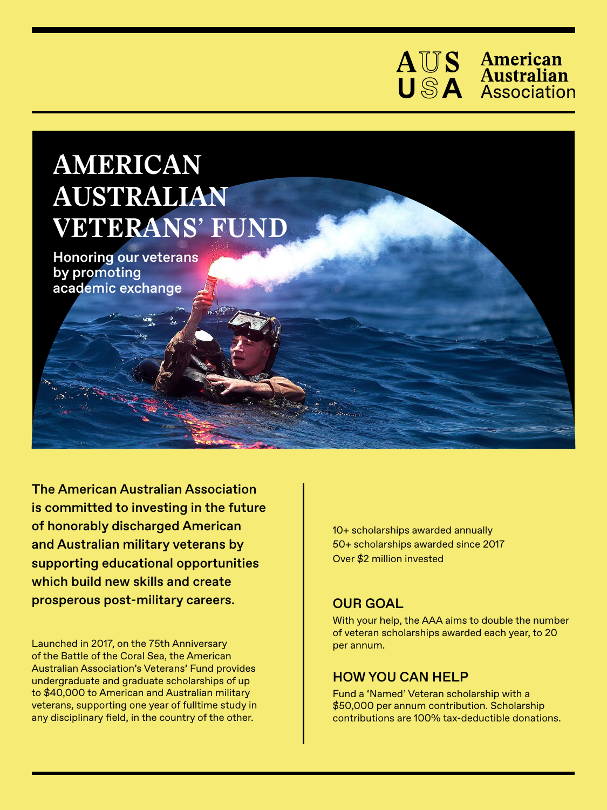

## **AMERICAN AUSTRALIAN VETERANS' FUND**

Honoring our veterans by promoting academic exchange

The American Australian Association is committed to investing in the future of honorably discharged American and Australian military veterans by supporting educational opportunities which build new skills and create prosperous post-military careers.

Launched in 2017, on the 75th Anniversary of the Battle of the Coral Sea, the American Australian Association's Veterans' Fund provides undergraduate and graduate scholarships of up to \$40,000 to American and Australian military veterans, supporting one year of fulltime study in any disciplinary field, in the country of the other.

10+ scholarships awarded annually 50+ scholarships awarded since 2017 Over \$2 million invested

## OUR GOAL

With your help, the AAA aims to double the number of veteran scholarships awarded each year, to 20 per annum.

## HOW YOU CAN HELP

Fund a 'Named' Veteran scholarship with a \$50,000 per annum contribution. Scholarship contributions are 100% tax-deductible donations.